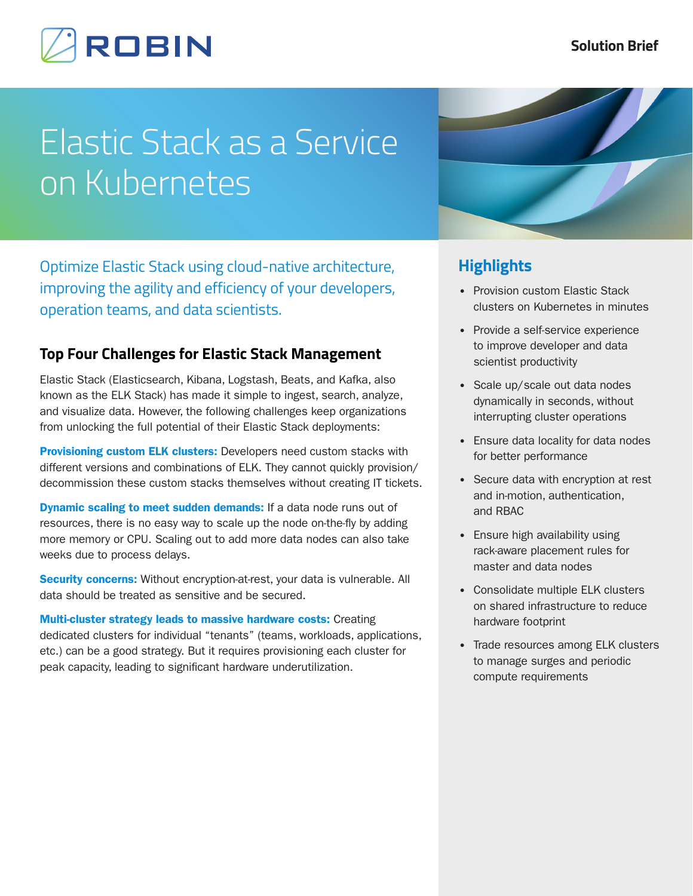# **ROBIN**

# Elastic Stack as a Service on Kubernetes

Optimize Elastic Stack using cloud-native architecture, improving the agility and efficiency of your developers, operation teams, and data scientists.

## **Top Four Challenges for Elastic Stack Management**

Elastic Stack (Elasticsearch, Kibana, Logstash, Beats, and Kafka, also known as the ELK Stack) has made it simple to ingest, search, analyze, and visualize data. However, the following challenges keep organizations from unlocking the full potential of their Elastic Stack deployments:

Provisioning custom ELK clusters: Developers need custom stacks with different versions and combinations of ELK. They cannot quickly provision/ decommission these custom stacks themselves without creating IT tickets.

**Dynamic scaling to meet sudden demands:** If a data node runs out of resources, there is no easy way to scale up the node on-the-fly by adding more memory or CPU. Scaling out to add more data nodes can also take weeks due to process delays.

Security concerns: Without encryption-at-rest, your data is vulnerable. All data should be treated as sensitive and be secured.

Multi-cluster strategy leads to massive hardware costs: Creating dedicated clusters for individual "tenants" (teams, workloads, applications, etc.) can be a good strategy. But it requires provisioning each cluster for peak capacity, leading to significant hardware underutilization.



## **Highlights**

- Provision custom Elastic Stack clusters on Kubernetes in minutes
- Provide a self-service experience to improve developer and data scientist productivity
- Scale up/scale out data nodes dynamically in seconds, without interrupting cluster operations
- Ensure data locality for data nodes for better performance
- Secure data with encryption at rest and in-motion, authentication, and RBAC
- Ensure high availability using rack-aware placement rules for master and data nodes
- Consolidate multiple ELK clusters on shared infrastructure to reduce hardware footprint
- Trade resources among ELK clusters to manage surges and periodic compute requirements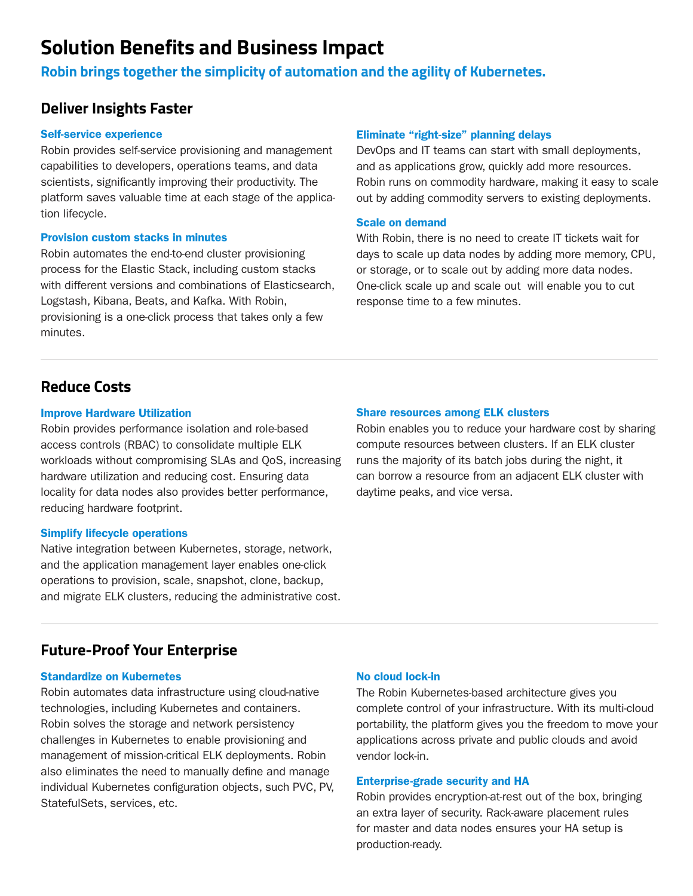# **Solution Benefits and Business Impact**

**Robin brings together the simplicity of automation and the agility of Kubernetes.**

## **Deliver Insights Faster**

#### Self-service experience

Robin provides self-service provisioning and management capabilities to developers, operations teams, and data scientists, significantly improving their productivity. The platform saves valuable time at each stage of the application lifecycle.

### Provision custom stacks in minutes

Robin automates the end-to-end cluster provisioning process for the Elastic Stack, including custom stacks with different versions and combinations of Elasticsearch, Logstash, Kibana, Beats, and Kafka. With Robin, provisioning is a one-click process that takes only a few minutes.

### Eliminate "right-size" planning delays

DevOps and IT teams can start with small deployments, and as applications grow, quickly add more resources. Robin runs on commodity hardware, making it easy to scale out by adding commodity servers to existing deployments.

## Scale on demand

With Robin, there is no need to create IT tickets wait for days to scale up data nodes by adding more memory, CPU, or storage, or to scale out by adding more data nodes. One-click scale up and scale out will enable you to cut response time to a few minutes.

## **Reduce Costs**

### Improve Hardware Utilization

Robin provides performance isolation and role-based access controls (RBAC) to consolidate multiple ELK workloads without compromising SLAs and QoS, increasing hardware utilization and reducing cost. Ensuring data locality for data nodes also provides better performance, reducing hardware footprint.

## Simplify lifecycle operations

Native integration between Kubernetes, storage, network, and the application management layer enables one-click operations to provision, scale, snapshot, clone, backup, and migrate ELK clusters, reducing the administrative cost.

## Share resources among ELK clusters

Robin enables you to reduce your hardware cost by sharing compute resources between clusters. If an ELK cluster runs the majority of its batch jobs during the night, it can borrow a resource from an adjacent ELK cluster with daytime peaks, and vice versa.

## **Future-Proof Your Enterprise**

#### Standardize on Kubernetes

Robin automates data infrastructure using cloud-native technologies, including Kubernetes and containers. Robin solves the storage and network persistency challenges in Kubernetes to enable provisioning and management of mission-critical ELK deployments. Robin also eliminates the need to manually define and manage individual Kubernetes configuration objects, such PVC, PV, StatefulSets, services, etc.

## No cloud lock-in

The Robin Kubernetes-based architecture gives you complete control of your infrastructure. With its multi-cloud portability, the platform gives you the freedom to move your applications across private and public clouds and avoid vendor lock-in.

## Enterprise-grade security and HA

Robin provides encryption-at-rest out of the box, bringing an extra layer of security. Rack-aware placement rules for master and data nodes ensures your HA setup is production-ready.